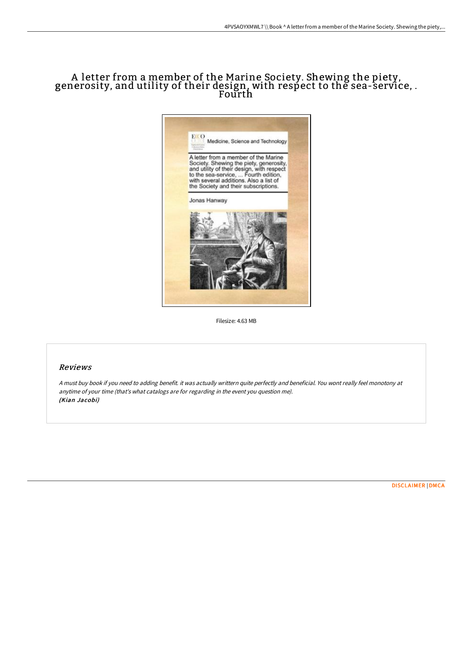# A letter from a member of the Marine Society. Shewing the piety, generosity, and utility of their design, with respect to the sea-service, . Fourth



Filesize: 4.63 MB

#### Reviews

<sup>A</sup> must buy book if you need to adding benefit. it was actually writtern quite perfectly and beneficial. You wont really feel monotony at anytime of your time (that's what catalogs are for regarding in the event you question me). (Kian Jacobi)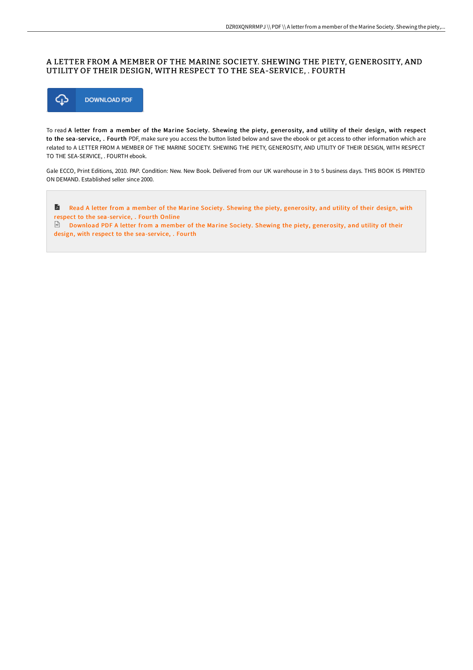## A LETTER FROM A MEMBER OF THE MARINE SOCIETY. SHEWING THE PIETY, GENEROSITY, AND UTILITY OF THEIR DESIGN, WITH RESPECT TO THE SEA-SERVICE, . FOURTH



To read A letter from a member of the Marine Society. Shewing the piety, generosity, and utility of their design, with respect to the sea-service, . Fourth PDF, make sure you access the button listed below and save the ebook or get access to other information which are related to A LETTER FROM A MEMBER OF THE MARINE SOCIETY. SHEWING THE PIETY, GENEROSITY, AND UTILITY OF THEIR DESIGN, WITH RESPECT TO THE SEA-SERVICE, . FOURTH ebook.

Gale ECCO, Print Editions, 2010. PAP. Condition: New. New Book. Delivered from our UK warehouse in 3 to 5 business days. THIS BOOK IS PRINTED ON DEMAND. Established seller since 2000.

 $\blacksquare$ Read A letter from a member of the Marine Society. Shewing the piety, [generosity,](http://techno-pub.tech/a-letter-from-a-member-of-the-marine-society-she-2.html) and utility of their design, with respect to the sea-ser vice, . Fourth Online

Download PDF A letter from a member of the Marine Society. Shewing the piety, [generosity,](http://techno-pub.tech/a-letter-from-a-member-of-the-marine-society-she-2.html) and utility of their design, with respect to the sea-service, . Fourth